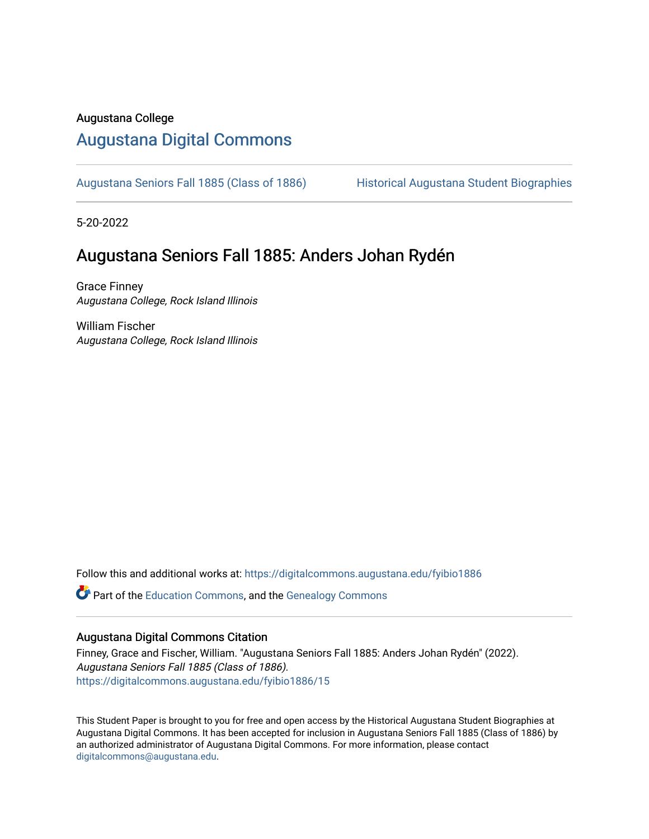#### Augustana College

### [Augustana Digital Commons](https://digitalcommons.augustana.edu/)

[Augustana Seniors Fall 1885 \(Class of 1886\)](https://digitalcommons.augustana.edu/fyibio1886) Historical Augustana Student Biographies

5-20-2022

#### Augustana Seniors Fall 1885: Anders Johan Rydén

Grace Finney Augustana College, Rock Island Illinois

William Fischer Augustana College, Rock Island Illinois

Follow this and additional works at: [https://digitalcommons.augustana.edu/fyibio1886](https://digitalcommons.augustana.edu/fyibio1886?utm_source=digitalcommons.augustana.edu%2Ffyibio1886%2F15&utm_medium=PDF&utm_campaign=PDFCoverPages) 

Part of the [Education Commons](https://network.bepress.com/hgg/discipline/784?utm_source=digitalcommons.augustana.edu%2Ffyibio1886%2F15&utm_medium=PDF&utm_campaign=PDFCoverPages), and the [Genealogy Commons](https://network.bepress.com/hgg/discipline/1342?utm_source=digitalcommons.augustana.edu%2Ffyibio1886%2F15&utm_medium=PDF&utm_campaign=PDFCoverPages) 

#### Augustana Digital Commons Citation

Finney, Grace and Fischer, William. "Augustana Seniors Fall 1885: Anders Johan Rydén" (2022). Augustana Seniors Fall 1885 (Class of 1886). [https://digitalcommons.augustana.edu/fyibio1886/15](https://digitalcommons.augustana.edu/fyibio1886/15?utm_source=digitalcommons.augustana.edu%2Ffyibio1886%2F15&utm_medium=PDF&utm_campaign=PDFCoverPages)

This Student Paper is brought to you for free and open access by the Historical Augustana Student Biographies at Augustana Digital Commons. It has been accepted for inclusion in Augustana Seniors Fall 1885 (Class of 1886) by an authorized administrator of Augustana Digital Commons. For more information, please contact [digitalcommons@augustana.edu](mailto:digitalcommons@augustana.edu).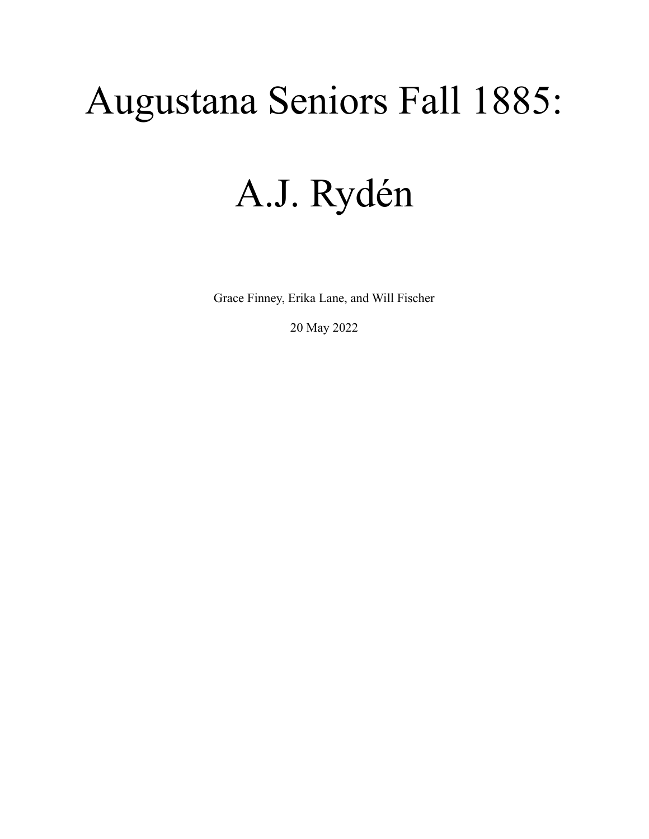# Augustana Seniors Fall 1885:

## A.J. Rydén

Grace Finney, Erika Lane, and Will Fischer

20 May 2022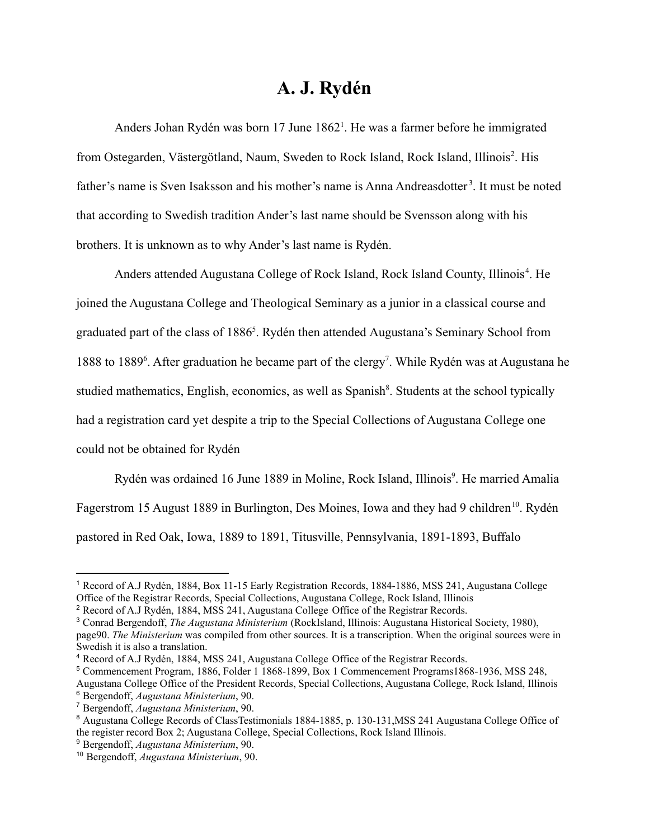### **A. J. Rydén**

Anders Johan Rydén was born 17 June 1862<sup>1</sup>. He was a farmer before he immigrated from Ostegarden, Västergötland, Naum, Sweden to Rock Island, Rock Island, Illinois<sup>2</sup>. His father's name is Sven Isaksson and his mother's name is Anna Andreasdotter<sup>3</sup>. It must be noted that according to Swedish tradition Ander's last name should be Svensson along with his brothers. It is unknown as to why Ander's last name is Rydén.

Anders attended Augustana College of Rock Island, Rock Island County, Illinois<sup>4</sup>. He joined the Augustana College and Theological Seminary as a junior in a classical course and graduated part of the class of 1886<sup>5</sup>. Rydén then attended Augustana's Seminary School from 1888 to 1889<sup>6</sup>. After graduation he became part of the clergy<sup>7</sup>. While Rydén was at Augustana he studied mathematics, English, economics, as well as Spanish<sup>8</sup>. Students at the school typically had a registration card yet despite a trip to the Special Collections of Augustana College one could not be obtained for Rydén

Rydén was ordained 16 June 1889 in Moline, Rock Island, Illinois<sup>9</sup>. He married Amalia Fagerstrom 15 August 1889 in Burlington, Des Moines, Iowa and they had 9 children<sup>10</sup>. Rydén pastored in Red Oak, Iowa, 1889 to 1891, Titusville, Pennsylvania, 1891-1893, Buffalo

<sup>1</sup> Record of A.J Rydén, 1884, Box 11-15 Early Registration Records, 1884-1886, MSS 241, Augustana College Office of the Registrar Records, Special Collections, Augustana College, Rock Island, Illinois

<sup>2</sup> Record of A.J Rydén, 1884, MSS 241, Augustana College Office of the Registrar Records.

<sup>3</sup> Conrad Bergendoff, *The Augustana Ministerium* (RockIsland, Illinois: Augustana Historical Society, 1980), page90. *The Ministerium* was compiled from other sources. It is a transcription. When the original sources were in Swedish it is also a translation.

<sup>4</sup> Record of A.J Rydén, 1884, MSS 241, Augustana College Office of the Registrar Records.

<sup>5</sup> Commencement Program, 1886, Folder 1 1868-1899, Box 1 Commencement Programs1868-1936, MSS 248,

<sup>6</sup> Bergendoff, *Augustana Ministerium*, 90. Augustana College Office of the President Records, Special Collections, Augustana College, Rock Island, Illinois

<sup>7</sup> Bergendoff, *Augustana Ministerium*, 90.

<sup>8</sup> Augustana College Records of ClassTestimonials 1884-1885, p. 130-131,MSS 241 Augustana College Office of the register record Box 2; Augustana College, Special Collections, Rock Island Illinois.

<sup>9</sup> Bergendoff, *Augustana Ministerium*, 90.

<sup>10</sup> Bergendoff, *Augustana Ministerium*, 90.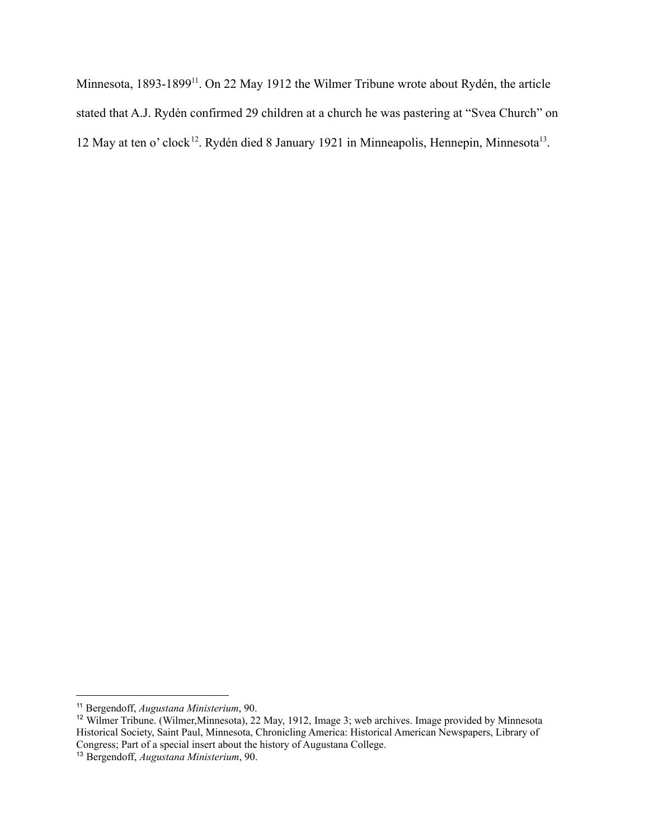Minnesota, 1893-1899<sup>11</sup>. On 22 May 1912 the Wilmer Tribune wrote about Rydén, the article stated that A.J. Rydén confirmed 29 children at a church he was pastering at "Svea Church" on 12 May at ten o' clock<sup>12</sup>. Rydén died 8 January 1921 in Minneapolis, Hennepin, Minnesota<sup>13</sup>.

<sup>11</sup> Bergendoff, *Augustana Ministerium*, 90.

<sup>12</sup> Wilmer Tribune. (Wilmer,Minnesota), 22 May, 1912, Image 3; web archives. Image provided by Minnesota Historical Society, Saint Paul, Minnesota, Chronicling America: Historical American Newspapers, Library of Congress; Part of a special insert about the history of Augustana College.

<sup>13</sup> Bergendoff, *Augustana Ministerium*, 90.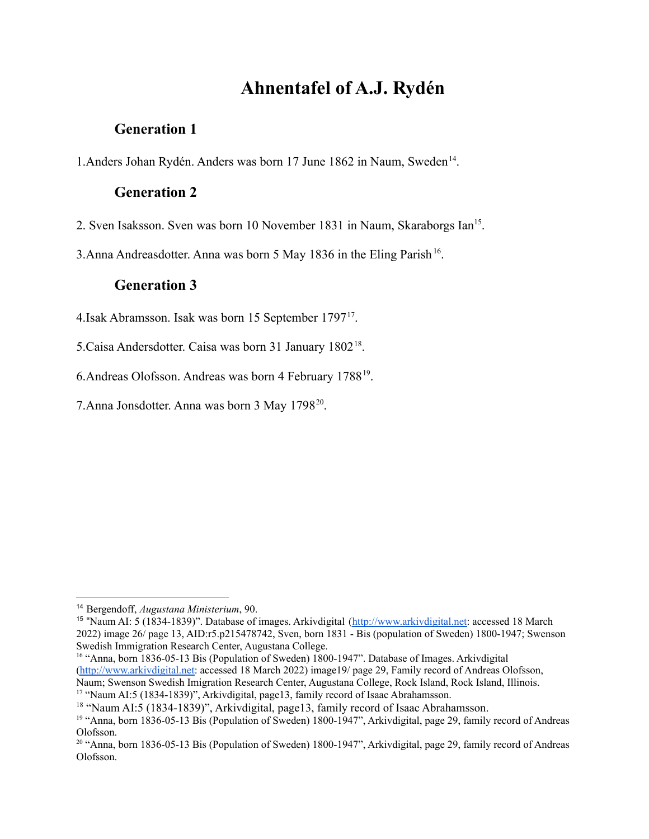## **Ahnentafel of A.J. Rydén**

#### **Generation 1**

1. Anders Johan Rydén. Anders was born 17 June 1862 in Naum, Sweden<sup>14</sup>.

#### **Generation 2**

2. Sven Isaksson. Sven was born 10 November 1831 in Naum, Skaraborgs Ian<sup>15</sup>.

3. Anna Andreasdotter. Anna was born 5 May 1836 in the Eling Parish<sup>16</sup>.

#### **Generation 3**

4. Isak Abramsson. Isak was born 15 September 1797<sup>17</sup>.

5. Caisa Andersdotter. Caisa was born 31 January 1802<sup>18</sup>.

6. Andreas Olofsson. Andreas was born 4 February 1788<sup>19</sup>.

7. Anna Jonsdotter. Anna was born 3 May 1798<sup>20</sup>.

<sup>17</sup> "Naum AI:5 (1834-1839)", Arkivdigital, page13, family record of Isaac Abrahamsson. <sup>16</sup> "Anna, born 1836-05-13 Bis (Population of Sweden) 1800-1947". Database of Images. Arkivdigital [\(http://www.arkivdigital.net:](http://www.arkivdigital.net) accessed 18 March 2022) image19/ page 29, Family record of Andreas Olofsson, Naum; Swenson Swedish Imigration Research Center, Augustana College, Rock Island, Rock Island, Illinois.

<sup>18</sup> "Naum AI:5 (1834-1839)", Arkivdigital, page13, family record of Isaac Abrahamsson.

<sup>14</sup> Bergendoff, *Augustana Ministerium*, 90.

<sup>&</sup>lt;sup>15</sup> "Naum AI: 5 (1834-1839)". Database of images. Arkivdigital [\(http://www.arkivdigital.net:](http://www.arkivdigital.net) accessed 18 March 2022) image 26/ page 13, AID:r5.p215478742, Sven, born 1831 - Bis (population of Sweden) 1800-1947; Swenson Swedish Immigration Research Center, Augustana College.

<sup>&</sup>lt;sup>19</sup> "Anna, born 1836-05-13 Bis (Population of Sweden) 1800-1947", Arkivdigital, page 29, family record of Andreas Olofsson.

<sup>&</sup>lt;sup>20</sup> "Anna, born 1836-05-13 Bis (Population of Sweden) 1800-1947", Arkivdigital, page 29, family record of Andreas Olofsson.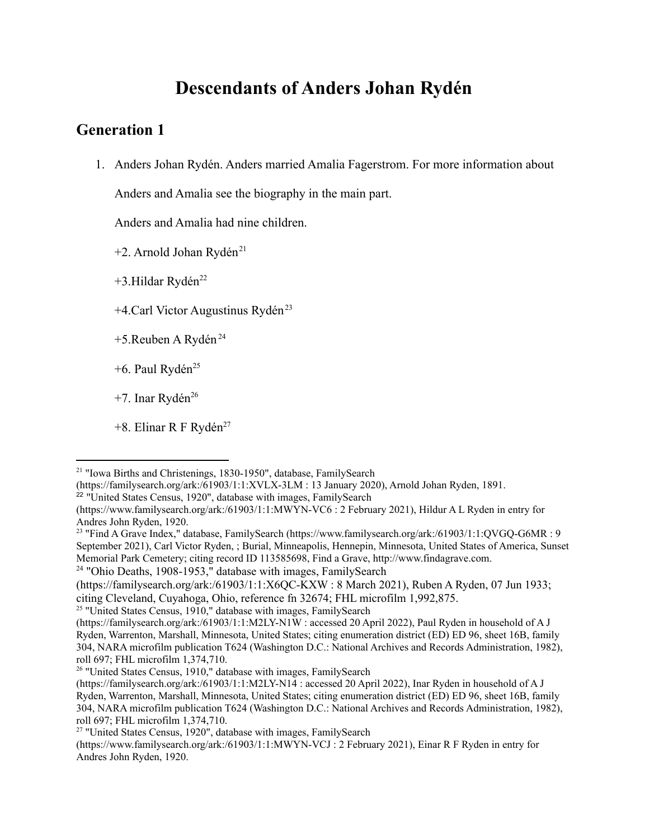## **Descendants of Anders Johan Rydén**

#### **Generation 1**

1. Anders Johan Rydén. Anders married Amalia Fagerstrom. For more information about

Anders and Amalia see the biography in the main part.

Anders and Amalia had nine children.

 $+2$ . Arnold Johan Rydén<sup>21</sup>

 $+3$ .Hildar Rydén<sup>22</sup>

 $+4$ .Carl Victor Augustinus Rydén<sup>23</sup>

- +5.Reuben A Rydén<sup>24</sup>
- +6. Paul Rydén<sup>25</sup>
- $+7$ . Inar Rydén<sup>26</sup>
- +8. Elinar R F Rydén<sup>27</sup>

<sup>24</sup> "Ohio Deaths, 1908-1953," database with images, FamilySearch

<sup>25</sup> "United States Census, 1910," database with images, FamilySearch

<sup>21</sup> "Iowa Births and Christenings, 1830-1950", database, FamilySearch

<sup>(</sup>https://familysearch.org/ark:/61903/1:1:XVLX-3LM : 13 January 2020), Arnold Johan Ryden, 1891.

<sup>&</sup>lt;sup>22</sup> "United States Census, 1920", database with images, FamilySearch

<sup>(</sup>https://www.familysearch.org/ark:/61903/1:1:MWYN-VC6 : 2 February 2021), Hildur A L Ryden in entry for Andres John Ryden, 1920.

<sup>&</sup>lt;sup>23</sup> "Find A Grave Index," database, FamilySearch (https://www.familysearch.org/ark:/61903/1:1:QVGQ-G6MR : 9 September 2021), Carl Victor Ryden, ; Burial, Minneapolis, Hennepin, Minnesota, United States of America, Sunset Memorial Park Cemetery; citing record ID 113585698, Find a Grave, http://www.findagrave.com.

<sup>(</sup>https://familysearch.org/ark:/61903/1:1:X6QC-KXW : 8 March 2021), Ruben A Ryden, 07 Jun 1933; citing Cleveland, Cuyahoga, Ohio, reference fn 32674; FHL microfilm 1,992,875.

<sup>(</sup>https://familysearch.org/ark:/61903/1:1:M2LY-N1W : accessed 20 April 2022), Paul Ryden in household of A J Ryden, Warrenton, Marshall, Minnesota, United States; citing enumeration district (ED) ED 96, sheet 16B, family 304, NARA microfilm publication T624 (Washington D.C.: National Archives and Records Administration, 1982), roll 697; FHL microfilm 1,374,710.

<sup>&</sup>lt;sup>26</sup> "United States Census, 1910," database with images, FamilySearch

<sup>(</sup>https://familysearch.org/ark:/61903/1:1:M2LY-N14 : accessed 20 April 2022), Inar Ryden in household of A J Ryden, Warrenton, Marshall, Minnesota, United States; citing enumeration district (ED) ED 96, sheet 16B, family 304, NARA microfilm publication T624 (Washington D.C.: National Archives and Records Administration, 1982), roll 697; FHL microfilm 1,374,710.

<sup>&</sup>lt;sup>27</sup> "United States Census, 1920", database with images, FamilySearch

<sup>(</sup>https://www.familysearch.org/ark:/61903/1:1:MWYN-VCJ : 2 February 2021), Einar R F Ryden in entry for Andres John Ryden, 1920.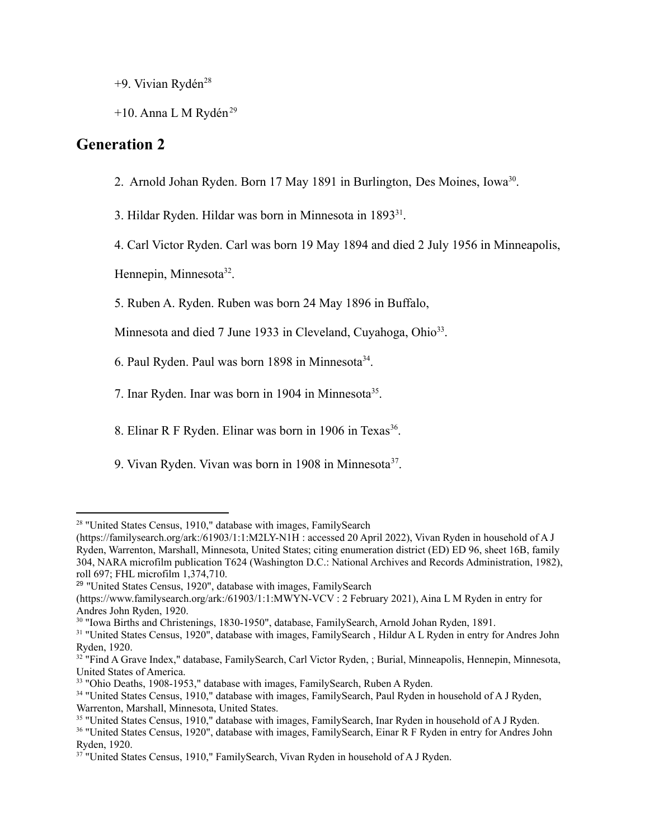+9. Vivian Rydén<sup>28</sup>

+10. Anna L M Rydén<sup>29</sup>

#### **Generation 2**

2. Arnold Johan Ryden. Born 17 May 1891 in Burlington, Des Moines, Iowa<sup>30</sup>.

3. Hildar Ryden. Hildar was born in Minnesota in 1893<sup>31</sup>.

4. Carl Victor Ryden. Carl was born 19 May 1894 and died 2 July 1956 in Minneapolis,

Hennepin, Minnesota<sup>32</sup>.

5. Ruben A. Ryden. Ruben was born 24 May 1896 in Buffalo,

Minnesota and died 7 June 1933 in Cleveland, Cuyahoga, Ohio<sup>33</sup>.

6. Paul Ryden. Paul was born 1898 in Minnesota<sup>34</sup>.

- 7. Inar Ryden. Inar was born in 1904 in Minnesota<sup>35</sup>.
- 8. Elinar R F Ryden. Elinar was born in 1906 in Texas<sup>36</sup>.
- 9. Vivan Ryden. Vivan was born in 1908 in Minnesota<sup>37</sup>.

<sup>&</sup>lt;sup>28</sup> "United States Census, 1910," database with images, FamilySearch

<sup>(</sup>https://familysearch.org/ark:/61903/1:1:M2LY-N1H : accessed 20 April 2022), Vivan Ryden in household of A J Ryden, Warrenton, Marshall, Minnesota, United States; citing enumeration district (ED) ED 96, sheet 16B, family 304, NARA microfilm publication T624 (Washington D.C.: National Archives and Records Administration, 1982), roll 697; FHL microfilm 1,374,710.

<sup>&</sup>lt;sup>29</sup> "United States Census, 1920", database with images, FamilySearch

<sup>(</sup>https://www.familysearch.org/ark:/61903/1:1:MWYN-VCV : 2 February 2021), Aina L M Ryden in entry for Andres John Ryden, 1920.

<sup>30</sup> "Iowa Births and Christenings, 1830-1950", database, FamilySearch, Arnold Johan Ryden, 1891.

<sup>&</sup>lt;sup>31</sup> "United States Census, 1920", database with images, FamilySearch, Hildur A L Ryden in entry for Andres John Ryden, 1920.

<sup>&</sup>lt;sup>32</sup> "Find A Grave Index," database, FamilySearch, Carl Victor Ryden, ; Burial, Minneapolis, Hennepin, Minnesota, United States of America.

<sup>33</sup> "Ohio Deaths, 1908-1953," database with images, FamilySearch, Ruben A Ryden.

<sup>&</sup>lt;sup>34</sup> "United States Census, 1910," database with images, FamilySearch, Paul Ryden in household of A J Ryden, Warrenton, Marshall, Minnesota, United States.

<sup>&</sup>lt;sup>35</sup> "United States Census, 1910," database with images, FamilySearch, Inar Ryden in household of A J Ryden.

<sup>36</sup> "United States Census, 1920", database with images, FamilySearch, Einar R F Ryden in entry for Andres John Ryden, 1920.

<sup>&</sup>lt;sup>37</sup> "United States Census, 1910," FamilySearch, Vivan Ryden in household of A J Ryden.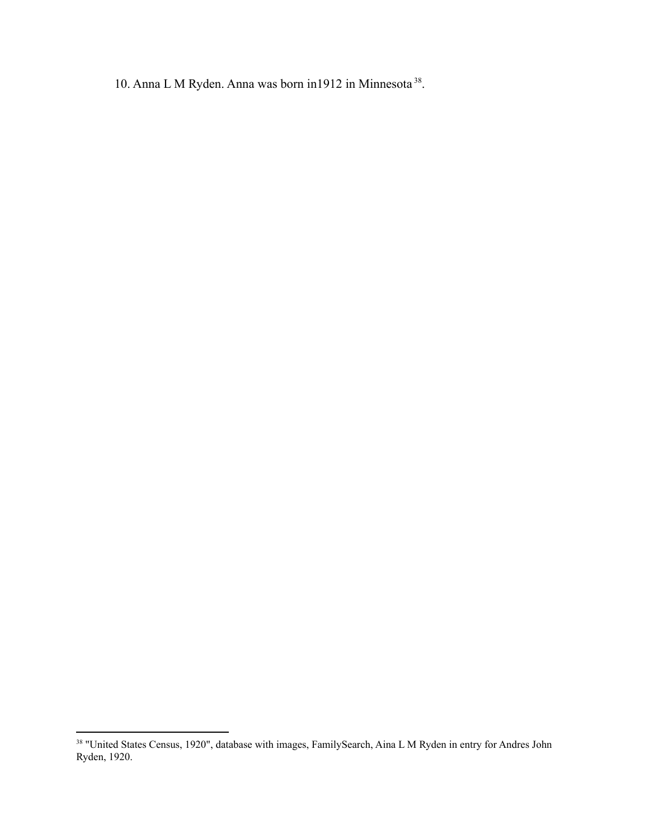10. Anna L M Ryden. Anna was born in1912 in Minnesota<sup>38</sup>.

<sup>&</sup>lt;sup>38</sup> "United States Census, 1920", database with images, FamilySearch, Aina L M Ryden in entry for Andres John Ryden, 1920.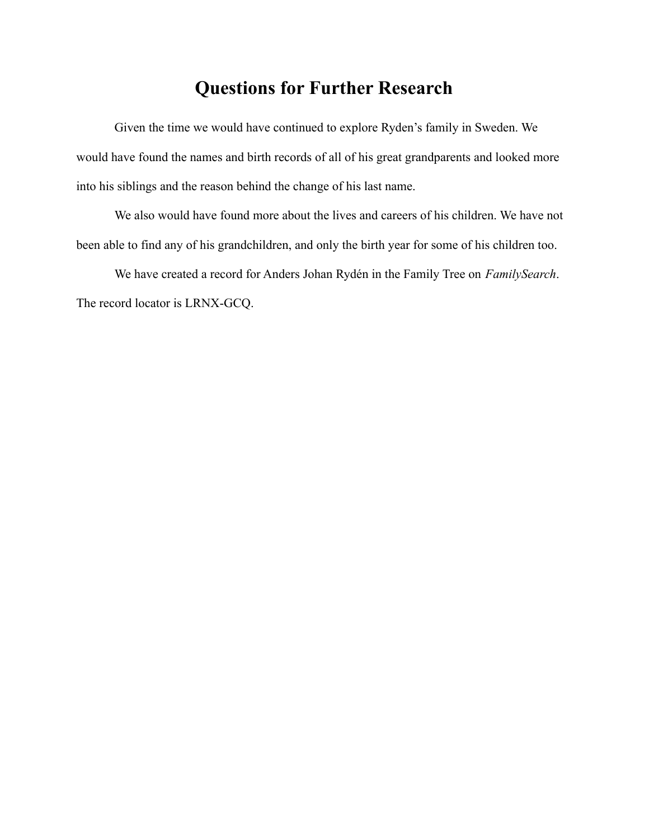## **Questions for Further Research**

Given the time we would have continued to explore Ryden's family in Sweden. We would have found the names and birth records of all of his great grandparents and looked more into his siblings and the reason behind the change of his last name.

We also would have found more about the lives and careers of his children. We have not been able to find any of his grandchildren, and only the birth year for some of his children too.

We have created a record for Anders Johan Rydén in the Family Tree on *FamilySearch*. The record locator is LRNX-GCQ.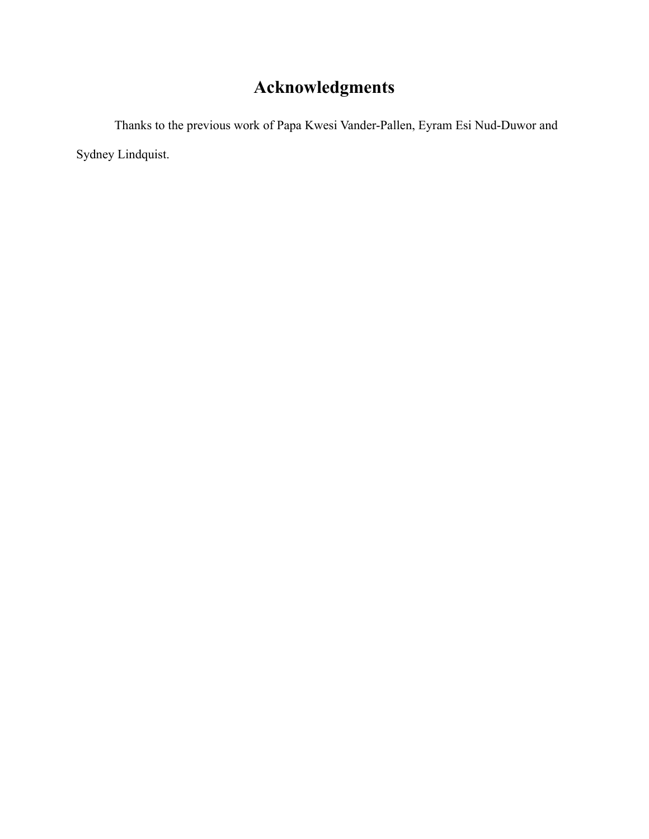## **Acknowledgments**

Thanks to the previous work of Papa Kwesi Vander-Pallen, Eyram Esi Nud-Duwor and Sydney Lindquist.